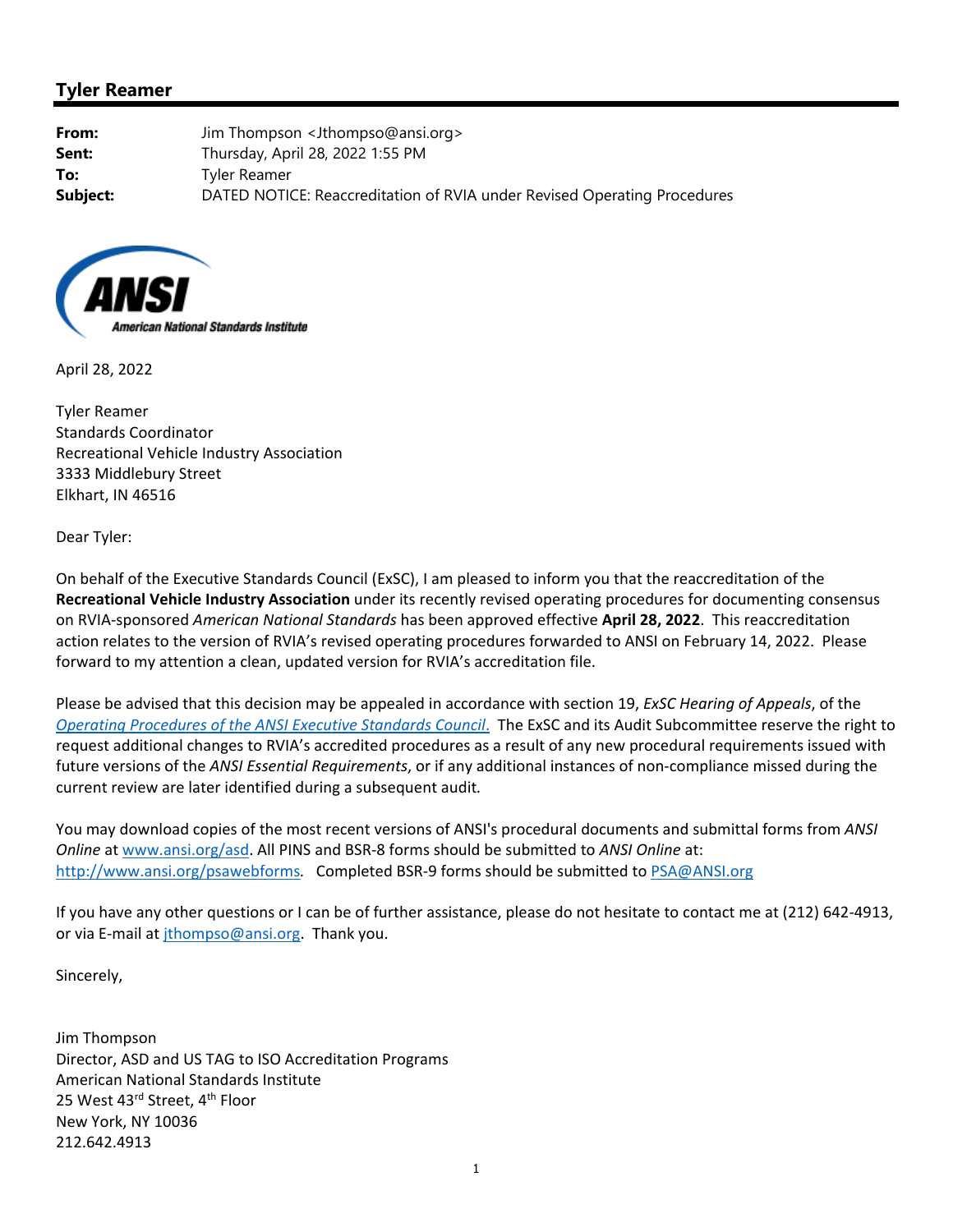## **Tyler Reamer**

**From:** Jim Thompson <Jthompso@ansi.org> **Sent:** Thursday, April 28, 2022 1:55 PM **To:** Tyler Reamer **Subject:** DATED NOTICE: Reaccreditation of RVIA under Revised Operating Procedures



April 28, 2022

Tyler Reamer Standards Coordinator Recreational Vehicle Industry Association 3333 Middlebury Street Elkhart, IN 46516

Dear Tyler:

On behalf of the Executive Standards Council (ExSC), I am pleased to inform you that the reaccreditation of the **Recreational Vehicle Industry Association** under its recently revised operating procedures for documenting consensus on RVIA‐sponsored *American National Standards* has been approved effective **April 28, 2022**. This reaccreditation action relates to the version of RVIA's revised operating procedures forwarded to ANSI on February 14, 2022. Please forward to my attention a clean, updated version for RVIA's accreditation file.

Please be advised that this decision may be appealed in accordance with section 19, *ExSC Hearing of Appeals*, of the *Operating Procedures of the ANSI Executive Standards Council*. The ExSC and its Audit Subcommittee reserve the right to request additional changes to RVIA's accredited procedures as a result of any new procedural requirements issued with future versions of the *ANSI Essential Requirements*, or if any additional instances of non‐compliance missed during the current review are later identified during a subsequent audit*.*

You may download copies of the most recent versions of ANSI's procedural documents and submittal forms from *ANSI Online* at www.ansi.org/asd. All PINS and BSR‐8 forms should be submitted to *ANSI Online* at: http://www.ansi.org/psawebforms. Completed BSR-9 forms should be submitted to PSA@ANSI.org

If you have any other questions or I can be of further assistance, please do not hesitate to contact me at (212) 642‐4913, or via E-mail at *jthompso@ansi.org*. Thank you.

Sincerely,

Jim Thompson Director, ASD and US TAG to ISO Accreditation Programs American National Standards Institute 25 West 43rd Street, 4<sup>th</sup> Floor New York, NY 10036 212.642.4913